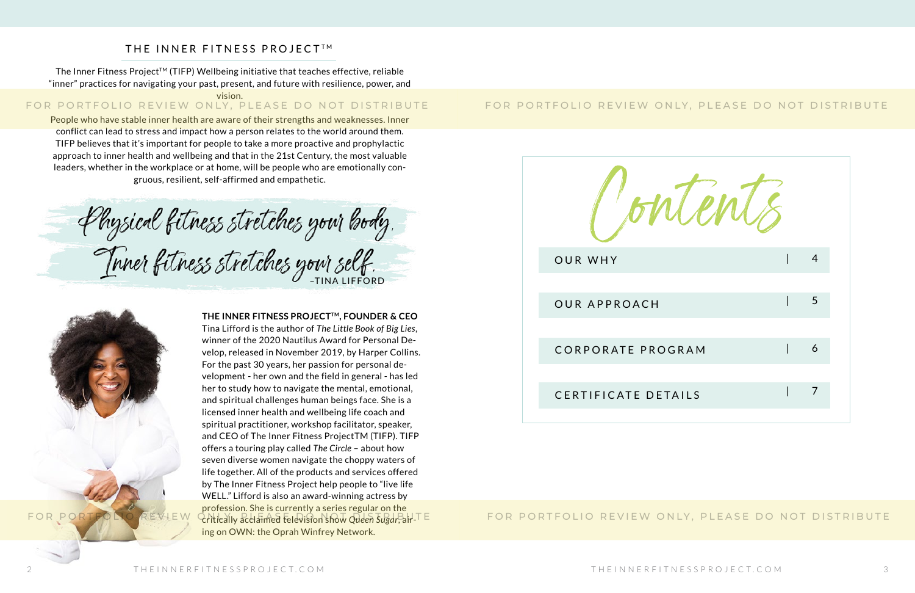## THE INNER FITNESS PROJECT<sup>TM</sup>

The Inner Fitness Project<sup>TM</sup> (TIFP) Wellbeing initiative that teaches effective, reliable "inner" practices for navigating your past, present, and future with resilience, power, and

People who have stable inner health are aware of their strengths and weaknesses. Inner conflict can lead to stress and impact how a person relates to the world around them. TIFP believes that it's important for people to take a more proactive and prophylactic approach to inner health and wellbeing and that in the 21st Century, the most valuable leaders, whether in the workplace or at home, will be people who are emotionally congruous, resilient, self-affirmed and empathetic.

flysical fitness stretches your body.



**THE INNER FITNESS PROJECTTM, FOUNDER & CEO**



vision. FOR PORTFOLIO REVIEW ONLY, PLEASE DO NOT DISTRIBUTE

Tina Lifford is the author of *The Little Book of Big Lies*, winner of the 2020 Nautilus Award for Personal Develop, released in November 2019, by Harper Collins. For the past 30 years, her passion for personal development - her own and the field in general - has led her to study how to navigate the mental, emotional, and spiritual challenges human beings face. She is a licensed inner health and wellbeing life coach and spiritual practitioner, workshop facilitator, speaker, and CEO of The Inner Fitness ProjectTM (TIFP). TIFP offers a touring play called *The Circle* – about how seven diverse women navigate the choppy waters of life together. All of the products and services offered by The Inner Fitness Project help people to "live life WELL." Lifford is also an award-winning actress by profession. She is currently a series regular on the FOR PORTFOLIO REVIEW Onlically acclaimed television show *Queen Sugar*, air-TE ing on OWN: the Oprah Winfrey Network.

## FOR PORTFOLIO REVIEW ONLY, PLEASE DO NOT DISTRIBUTE

## FOR PORTFOLIO REVIEW ONLY, PLEASE DO NOT DISTRIBUTE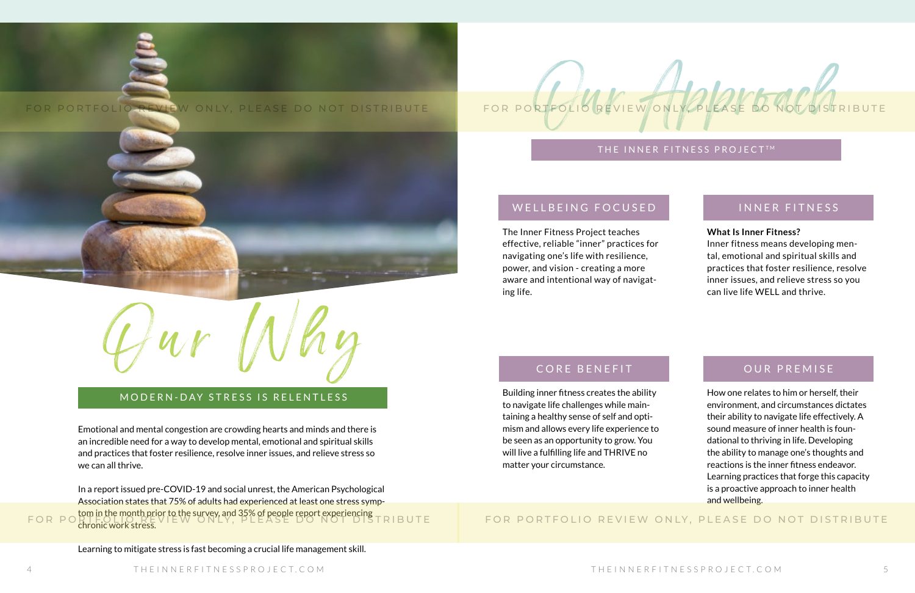The Inner Fitness Project teaches effective, reliable "inner" practices for navigating one's life with resilience, power, and vision - creating a more aware and intentional way of navigating life.

## CORE BENEFIT **OUR PREMISE**

### **What Is Inner Fitness?**

Inner fitness means developing mental, emotional and spiritual skills and practices that foster resilience, resolve inner issues, and relieve stress so you can live life WELL and thrive.

Building inner fitness creates the ability to navigate life challenges while maintaining a healthy sense of self and optimism and allows every life experience to be seen as an opportunity to grow. You will live a fulfilling life and THRIVE no matter your circumstance.

How one relates to him or herself, their environment, and circumstances dictates their ability to navigate life effectively. A sound measure of inner health is foundational to thriving in life. Developing the ability to manage one's thoughts and reactions is the inner fitness endeavor. Learning practices that forge this capacity is a proactive approach to inner health and wellbeing.



Our Why

## MODERN-DAY STRESS IS RELENTLESS

Emotional and mental congestion are crowding hearts and minds and there is an incredible need for a way to develop mental, emotional and spiritual skills and practices that foster resilience, resolve inner issues, and relieve stress so we can all thrive.



## THE INNER FITNESS PROJECTTM

In a report issued pre-COVID-19 and social unrest, the American Psychological Association states that 75% of adults had experienced at least one stress symptom in the month prior to the survey, and 35% of people report experiencing chronic work stress. FOR PORTFOLIO REVIEW ONLY, PLEASE DO NOT DISTRIBUTE

Learning to mitigate stress is fast becoming a crucial life management skill.





FOR PORTFOLIO REVIEW ONLY, PLEASE DO NOT DISTRIBUTE